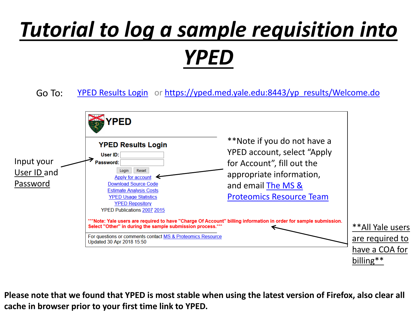# *Tutorial to log a sample requisition into YPED*

Go To: [YPED Results Login](https://yped.med.yale.edu:8443/yp_results/Welcome.do) or [https://yped.med.yale.edu:8443/yp\\_results/Welcome.do](https://yped.med.yale.edu:8443/yp_results/Welcome.do)



**Please note that we found that YPED is most stable when using the latest version of Firefox, also clear all cache in browser prior to your first time link to YPED.**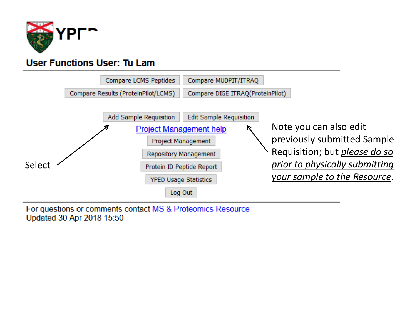

## **User Functions User: Tu Lam**



For questions or comments contact MS & Proteomics Resource Updated 30 Apr 2018 15:50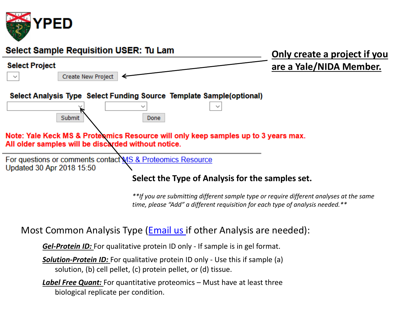

| <b>Select Sample Requisition USER: Tu Lam</b>                                                                                                                                                                                       | Only create a project if you |  |  |  |  |
|-------------------------------------------------------------------------------------------------------------------------------------------------------------------------------------------------------------------------------------|------------------------------|--|--|--|--|
| <b>Select Project</b>                                                                                                                                                                                                               | are a Yale/NIDA Member.      |  |  |  |  |
| Create New Project                                                                                                                                                                                                                  |                              |  |  |  |  |
| Select Analysis Type Select Funding Source Template Sample(optional)<br>Submit<br>Done<br>Note: Yale Keck MS & Proteomics Resource will only keep samples up to 3 years max.<br>All older samples will be discarded without notice. |                              |  |  |  |  |
| For questions or comments contact MS & Proteomics Resource<br>Updated 30 Apr 2018 15:50<br>Select the Type of Analysis for the samples set.                                                                                         |                              |  |  |  |  |
| **If you are submitting different sample type or require different analyses at the same<br>time, please "Add" a different requisition for each type of analysis needed.**                                                           |                              |  |  |  |  |
| Most Common Analysis Type ( <b>Email us</b> if other Analysis are needed):                                                                                                                                                          |                              |  |  |  |  |
| <b>Gel-Protein ID:</b> For qualitative protein ID only - If sample is in gel format.                                                                                                                                                |                              |  |  |  |  |
| <b>Solution-Protein ID:</b> For qualitative protein ID only - Use this if sample (a)<br>solution, (b) cell pellet, (c) protein pellet, or (d) tissue.                                                                               |                              |  |  |  |  |

*Label Free Quant:* For quantitative proteomics – Must have at least three biological replicate per condition.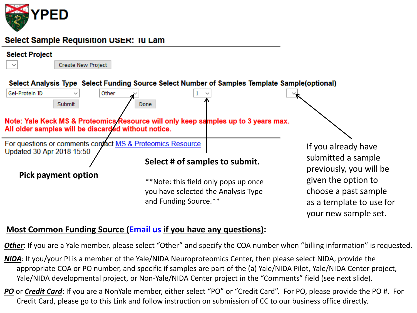

#### Select Sample Requisition USER: IU Lam

#### **Select Project**

 $\checkmark$ 



Create New Project

Select Analysis Type Select Funding Source Select Number of Samples Template Sample(optional)



### **Most Common Funding Source [\(Email us i](mailto:tukiet.lam@yale.edu;jean.kanyo@yale.edu;weiwei.wang@yale.edu;florine.collin@yale.edu?subject=Requesting%20Un-common%20Analysis%20Type)f you have any questions):**

*Other*: If you are a Yale member, please select "Other" and specify the COA number when "billing information" is requested.

*NIDA*: If you/your PI is a member of the Yale/NIDA Neuroproteomics Center, then please select NIDA, provide the appropriate COA or PO number, and specific if samples are part of the (a) Yale/NIDA Pilot, Yale/NIDA Center project, Yale/NIDA developmental project, or Non-Yale/NIDA Center project in the "Comments" field (see next slide).

*PO* or *Credit Card*: If you are a NonYale member, either select "PO" or "Credit Card". For PO, please provide the PO #. For Credit Card, please go to this Link and follow instruction on submission of CC to our business office directly.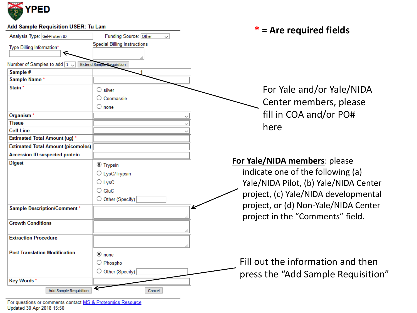

| Add Sample Requisition USER: Tu Lam       |                                       | $*$ = Are required fields             |
|-------------------------------------------|---------------------------------------|---------------------------------------|
| Analysis Type: Gel-Protein ID             | Funding Source: Other<br>$\checkmark$ |                                       |
| Type Billing Information*                 | <b>Special Billing Instructions</b>   |                                       |
|                                           |                                       |                                       |
| Number of Samples to add $\boxed{1 -}$    | <b>Extend Sample Requisition</b>      |                                       |
| Sample #                                  |                                       |                                       |
| Sample Name*                              |                                       |                                       |
| Stain <sup>*</sup>                        | $\bigcirc$ silver                     | For Yale and/or Yale/NIDA             |
|                                           | ○ Coomassie                           |                                       |
|                                           | $\bigcirc$ none                       | Center members, please                |
| Organism <sup>*</sup>                     |                                       | fill in COA and/or PO#                |
| Tissue                                    |                                       |                                       |
| <b>Cell Line</b>                          |                                       | here                                  |
| <b>Estimated Total Amount (ug)*</b>       |                                       |                                       |
| <b>Estimated Total Amount (picomoles)</b> |                                       |                                       |
| <b>Accession ID suspected protein</b>     |                                       |                                       |
| <b>Digest</b>                             | <sup>●</sup> Trypsin                  | For Yale/NIDA members: please         |
|                                           | ○ LysC/Trypsin                        | indicate one of the following (a)     |
|                                           | $\bigcirc$ LysC                       | Yale/NIDA Pilot, (b) Yale/NIDA Center |
|                                           | $\bigcirc$ GluC                       |                                       |
|                                           | O Other (Specify)                     | project, (c) Yale/NIDA developmental  |
|                                           |                                       | project, or (d) Non-Yale/NIDA Center  |
| <b>Sample Description/Comment*</b>        |                                       |                                       |
| <b>Growth Conditions</b>                  |                                       | project in the "Comments" field.      |
|                                           |                                       |                                       |
| <b>Extraction Procedure</b>               |                                       |                                       |
|                                           |                                       |                                       |
| <b>Post Translation Modification</b>      | $\circledcirc$ none                   |                                       |
|                                           | $\bigcirc$ Phospho                    | Fill out the information and then     |
|                                           | O Other (Specify)                     |                                       |
| Key Words*                                |                                       | press the "Add Sample Requisition"    |
| Add Sample Requisition                    | Cancel                                |                                       |

For questions or comments contact MS & Proteomics Resource<br>Updated 30 Apr 2018 15:50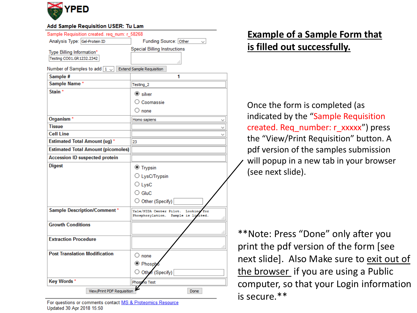

#### Add Sample Requisition USER: Tu Lam

| Sample Requisition created. req_num: r_58268 |                                                                                      |  |
|----------------------------------------------|--------------------------------------------------------------------------------------|--|
| Analysis Type: Gel-Protein ID                | Funding Source: Other                                                                |  |
| Type Billing Information*                    | <b>Special Billing Instructions</b>                                                  |  |
| Testing CO01.GR1232.2342                     |                                                                                      |  |
|                                              | a.                                                                                   |  |
| Number of Samples to add $\boxed{1}$         | <b>Extend Sample Requisition</b><br>1                                                |  |
| Sample #<br>Sample Name*                     |                                                                                      |  |
| Stain <sup>*</sup>                           | Testing_2                                                                            |  |
|                                              | $\circledcirc$ silver                                                                |  |
|                                              | $\bigcirc$ Coomassie                                                                 |  |
|                                              | $\bigcirc$ none                                                                      |  |
| Organism <sup>*</sup>                        | Homo sapiens                                                                         |  |
| <b>Tissue</b>                                |                                                                                      |  |
| <b>Cell Line</b>                             |                                                                                      |  |
| <b>Estimated Total Amount (ug)*</b>          | 23                                                                                   |  |
| <b>Estimated Total Amount (picomoles)</b>    |                                                                                      |  |
| <b>Accession ID suspected protein</b>        |                                                                                      |  |
| <b>Digest</b>                                | <b>■</b> Trypsin                                                                     |  |
|                                              | O LysC/Trypsin                                                                       |  |
|                                              | $\bigcirc$ LysC                                                                      |  |
|                                              | $\bigcirc$ GluC                                                                      |  |
|                                              | O Other (Specify)                                                                    |  |
|                                              |                                                                                      |  |
| <b>Sample Description/Comment*</b>           | Yale/NIDA Center Pilot.<br>Looking<br>for<br>Phosphorylation.<br>Sample<br>-18<br>a. |  |
| <b>Growth Conditions</b>                     |                                                                                      |  |
|                                              | ä.                                                                                   |  |
| <b>Extraction Procedure</b>                  |                                                                                      |  |
|                                              | ă                                                                                    |  |
| <b>Post Translation Modification</b>         | $\bigcirc$ none                                                                      |  |
|                                              | <b>O</b> Phosph                                                                      |  |
|                                              | Other (Specify)                                                                      |  |
| <b>Key Words*</b>                            | Phospho Test                                                                         |  |
|                                              |                                                                                      |  |
| View/Print PDF Requisition<br>Done           |                                                                                      |  |

For questions or comments contact MS & Proteomics Resource Updated 30 Apr 2018 15:50

# **Example of a Sample Form that is filled out successfully.**

Once the form is completed (as indicated by the "Sample Requisition created. Req\_number: r\_xxxxx") press the "View/Print Requisition" button. A pdf version of the samples submission will popup in a new tab in your browser (see next slide).

\*\*Note: Press "Done" only after you print the pdf version of the form [see next slide]. Also Make sure to exit out of the browser if you are using a Public computer, so that your Login information is secure.\*\*